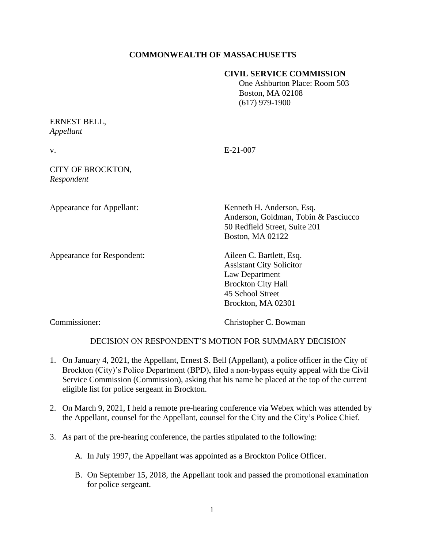# **COMMONWEALTH OF MASSACHUSETTS**

#### **CIVIL SERVICE COMMISSION**

 One Ashburton Place: Room 503 Boston, MA 02108 (617) 979-1900

# ERNEST BELL, *Appellant*

v. E-21-007

## CITY OF BROCKTON, *Respondent*

Appearance for Respondent: Aileen C. Bartlett, Esq.

Appearance for Appellant: Kenneth H. Anderson, Esq. Anderson, Goldman, Tobin & Pasciucco 50 Redfield Street, Suite 201 Boston, MA 02122

> Assistant City Solicitor Law Department Brockton City Hall 45 School Street Brockton, MA 02301

Commissioner: Christopher C. Bowman

## DECISION ON RESPONDENT'S MOTION FOR SUMMARY DECISION

- 1. On January 4, 2021, the Appellant, Ernest S. Bell (Appellant), a police officer in the City of Brockton (City)'s Police Department (BPD), filed a non-bypass equity appeal with the Civil Service Commission (Commission), asking that his name be placed at the top of the current eligible list for police sergeant in Brockton.
- 2. On March 9, 2021, I held a remote pre-hearing conference via Webex which was attended by the Appellant, counsel for the Appellant, counsel for the City and the City's Police Chief.
- 3. As part of the pre-hearing conference, the parties stipulated to the following:
	- A. In July 1997, the Appellant was appointed as a Brockton Police Officer.
	- B. On September 15, 2018, the Appellant took and passed the promotional examination for police sergeant.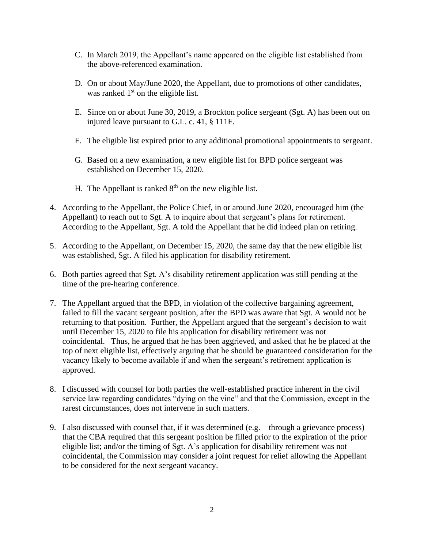- C. In March 2019, the Appellant's name appeared on the eligible list established from the above-referenced examination.
- D. On or about May/June 2020, the Appellant, due to promotions of other candidates, was ranked  $1<sup>st</sup>$  on the eligible list.
- E. Since on or about June 30, 2019, a Brockton police sergeant (Sgt. A) has been out on injured leave pursuant to G.L. c. 41, § 111F.
- F. The eligible list expired prior to any additional promotional appointments to sergeant.
- G. Based on a new examination, a new eligible list for BPD police sergeant was established on December 15, 2020.
- H. The Appellant is ranked  $8<sup>th</sup>$  on the new eligible list.
- 4. According to the Appellant, the Police Chief, in or around June 2020, encouraged him (the Appellant) to reach out to Sgt. A to inquire about that sergeant's plans for retirement. According to the Appellant, Sgt. A told the Appellant that he did indeed plan on retiring.
- 5. According to the Appellant, on December 15, 2020, the same day that the new eligible list was established, Sgt. A filed his application for disability retirement.
- 6. Both parties agreed that Sgt. A's disability retirement application was still pending at the time of the pre-hearing conference.
- 7. The Appellant argued that the BPD, in violation of the collective bargaining agreement, failed to fill the vacant sergeant position, after the BPD was aware that Sgt. A would not be returning to that position. Further, the Appellant argued that the sergeant's decision to wait until December 15, 2020 to file his application for disability retirement was not coincidental. Thus, he argued that he has been aggrieved, and asked that he be placed at the top of next eligible list, effectively arguing that he should be guaranteed consideration for the vacancy likely to become available if and when the sergeant's retirement application is approved.
- 8. I discussed with counsel for both parties the well-established practice inherent in the civil service law regarding candidates "dying on the vine" and that the Commission, except in the rarest circumstances, does not intervene in such matters.
- 9. I also discussed with counsel that, if it was determined (e.g. through a grievance process) that the CBA required that this sergeant position be filled prior to the expiration of the prior eligible list; and/or the timing of Sgt. A's application for disability retirement was not coincidental, the Commission may consider a joint request for relief allowing the Appellant to be considered for the next sergeant vacancy.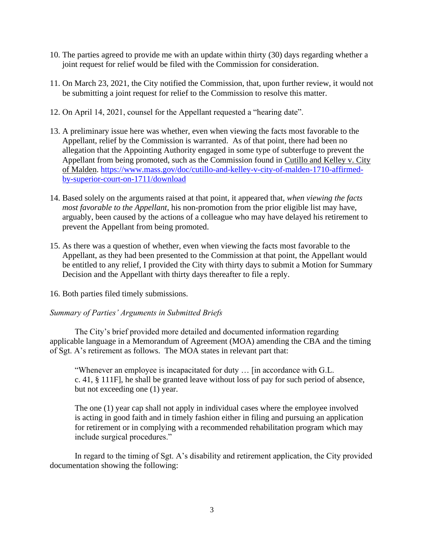- 10. The parties agreed to provide me with an update within thirty (30) days regarding whether a joint request for relief would be filed with the Commission for consideration.
- 11. On March 23, 2021, the City notified the Commission, that, upon further review, it would not be submitting a joint request for relief to the Commission to resolve this matter.
- 12. On April 14, 2021, counsel for the Appellant requested a "hearing date".
- 13. A preliminary issue here was whether, even when viewing the facts most favorable to the Appellant, relief by the Commission is warranted. As of that point, there had been no allegation that the Appointing Authority engaged in some type of subterfuge to prevent the Appellant from being promoted, such as the Commission found in Cutillo and Kelley v. City of Malden. [https://www.mass.gov/doc/cutillo-and-kelley-v-city-of-malden-1710-affirmed](https://www.mass.gov/doc/cutillo-and-kelley-v-city-of-malden-1710-affirmed-by-superior-court-on-1711/download)[by-superior-court-on-1711/download](https://www.mass.gov/doc/cutillo-and-kelley-v-city-of-malden-1710-affirmed-by-superior-court-on-1711/download)
- 14. Based solely on the arguments raised at that point, it appeared that, *when viewing the facts most favorable to the Appellant*, his non-promotion from the prior eligible list may have, arguably, been caused by the actions of a colleague who may have delayed his retirement to prevent the Appellant from being promoted.
- 15. As there was a question of whether, even when viewing the facts most favorable to the Appellant, as they had been presented to the Commission at that point, the Appellant would be entitled to any relief, I provided the City with thirty days to submit a Motion for Summary Decision and the Appellant with thirty days thereafter to file a reply.
- 16. Both parties filed timely submissions.

## *Summary of Parties' Arguments in Submitted Briefs*

The City's brief provided more detailed and documented information regarding applicable language in a Memorandum of Agreement (MOA) amending the CBA and the timing of Sgt. A's retirement as follows. The MOA states in relevant part that:

"Whenever an employee is incapacitated for duty … [in accordance with G.L. c. 41, § 111F], he shall be granted leave without loss of pay for such period of absence, but not exceeding one (1) year.

The one (1) year cap shall not apply in individual cases where the employee involved is acting in good faith and in timely fashion either in filing and pursuing an application for retirement or in complying with a recommended rehabilitation program which may include surgical procedures."

In regard to the timing of Sgt. A's disability and retirement application, the City provided documentation showing the following: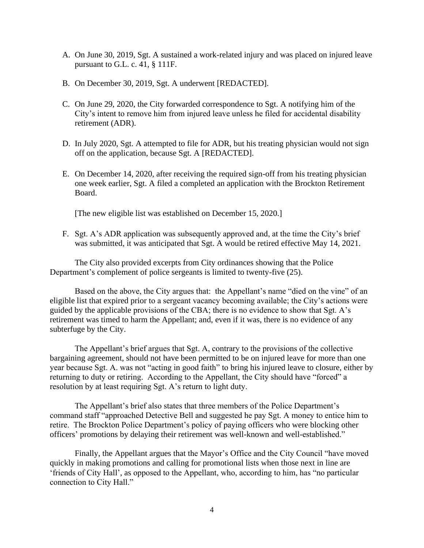- A. On June 30, 2019, Sgt. A sustained a work-related injury and was placed on injured leave pursuant to G.L. c. 41, § 111F.
- B. On December 30, 2019, Sgt. A underwent [REDACTED].
- C. On June 29, 2020, the City forwarded correspondence to Sgt. A notifying him of the City's intent to remove him from injured leave unless he filed for accidental disability retirement (ADR).
- D. In July 2020, Sgt. A attempted to file for ADR, but his treating physician would not sign off on the application, because Sgt. A [REDACTED].
- E. On December 14, 2020, after receiving the required sign-off from his treating physician one week earlier, Sgt. A filed a completed an application with the Brockton Retirement Board.

[The new eligible list was established on December 15, 2020.]

F. Sgt. A's ADR application was subsequently approved and, at the time the City's brief was submitted, it was anticipated that Sgt. A would be retired effective May 14, 2021.

The City also provided excerpts from City ordinances showing that the Police Department's complement of police sergeants is limited to twenty-five (25).

Based on the above, the City argues that: the Appellant's name "died on the vine" of an eligible list that expired prior to a sergeant vacancy becoming available; the City's actions were guided by the applicable provisions of the CBA; there is no evidence to show that Sgt. A's retirement was timed to harm the Appellant; and, even if it was, there is no evidence of any subterfuge by the City.

The Appellant's brief argues that Sgt. A, contrary to the provisions of the collective bargaining agreement, should not have been permitted to be on injured leave for more than one year because Sgt. A. was not "acting in good faith" to bring his injured leave to closure, either by returning to duty or retiring. According to the Appellant, the City should have "forced" a resolution by at least requiring Sgt. A's return to light duty.

The Appellant's brief also states that three members of the Police Department's command staff "approached Detective Bell and suggested he pay Sgt. A money to entice him to retire. The Brockton Police Department's policy of paying officers who were blocking other officers' promotions by delaying their retirement was well-known and well-established."

Finally, the Appellant argues that the Mayor's Office and the City Council "have moved quickly in making promotions and calling for promotional lists when those next in line are 'friends of City Hall', as opposed to the Appellant, who, according to him, has "no particular connection to City Hall."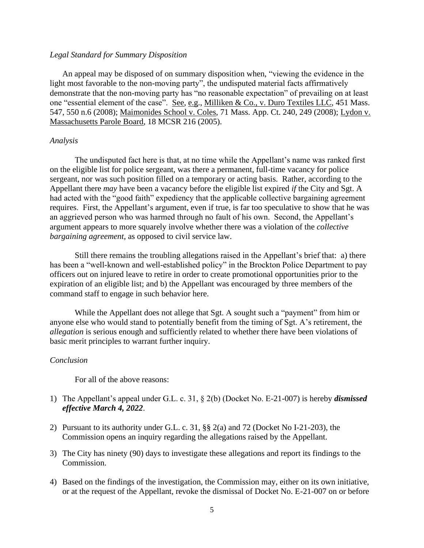## *Legal Standard for Summary Disposition*

An appeal may be disposed of on summary disposition when, "viewing the evidence in the light most favorable to the non-moving party", the undisputed material facts affirmatively demonstrate that the non-moving party has "no reasonable expectation" of prevailing on at least one "essential element of the case". See, e.g., Milliken & Co., v. Duro Textiles LLC, 451 Mass. 547, 550 n.6 (2008); Maimonides School v. Coles, 71 Mass. App. Ct. 240, 249 (2008); Lydon v. Massachusetts Parole Board, 18 MCSR 216 (2005).

#### *Analysis*

The undisputed fact here is that, at no time while the Appellant's name was ranked first on the eligible list for police sergeant, was there a permanent, full-time vacancy for police sergeant, nor was such position filled on a temporary or acting basis. Rather, according to the Appellant there *may* have been a vacancy before the eligible list expired *if* the City and Sgt. A had acted with the "good faith" expediency that the applicable collective bargaining agreement requires. First, the Appellant's argument, even if true, is far too speculative to show that he was an aggrieved person who was harmed through no fault of his own. Second, the Appellant's argument appears to more squarely involve whether there was a violation of the *collective bargaining agreement*, as opposed to civil service law.

Still there remains the troubling allegations raised in the Appellant's brief that: a) there has been a "well-known and well-established policy" in the Brockton Police Department to pay officers out on injured leave to retire in order to create promotional opportunities prior to the expiration of an eligible list; and b) the Appellant was encouraged by three members of the command staff to engage in such behavior here.

While the Appellant does not allege that Sgt. A sought such a "payment" from him or anyone else who would stand to potentially benefit from the timing of Sgt. A's retirement, the *allegation* is serious enough and sufficiently related to whether there have been violations of basic merit principles to warrant further inquiry.

#### *Conclusion*

For all of the above reasons:

- 1) The Appellant's appeal under G.L. c. 31, § 2(b) (Docket No. E-21-007) is hereby *dismissed effective March 4, 2022*.
- 2) Pursuant to its authority under G.L. c. 31, §§ 2(a) and 72 (Docket No I-21-203), the Commission opens an inquiry regarding the allegations raised by the Appellant.
- 3) The City has ninety (90) days to investigate these allegations and report its findings to the Commission.
- 4) Based on the findings of the investigation, the Commission may, either on its own initiative, or at the request of the Appellant, revoke the dismissal of Docket No. E-21-007 on or before